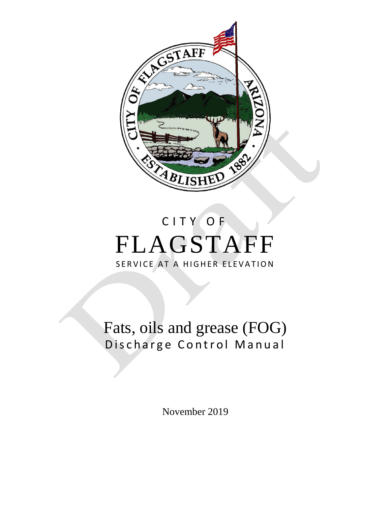

# CITY OF FLAGSTAFF SERVICE AT A HIGHER ELEVATION

# Fats, oils and grease (FOG) Discharge Control Manual

November 2019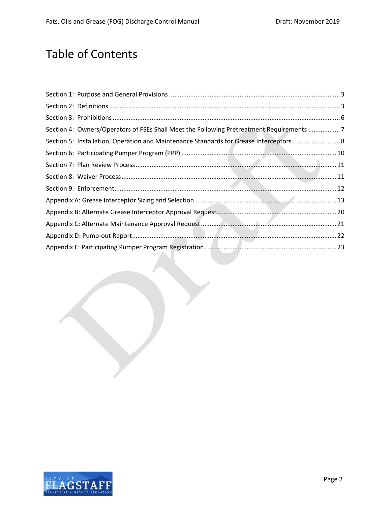# Table of Contents

| Section 4: Owners/Operators of FSEs Shall Meet the Following Pretreatment Requirements 7 |  |
|------------------------------------------------------------------------------------------|--|
| Section 5: Installation, Operation and Maintenance Standards for Grease Interceptors  8  |  |
|                                                                                          |  |
|                                                                                          |  |
|                                                                                          |  |
|                                                                                          |  |
|                                                                                          |  |
|                                                                                          |  |
|                                                                                          |  |
|                                                                                          |  |
|                                                                                          |  |

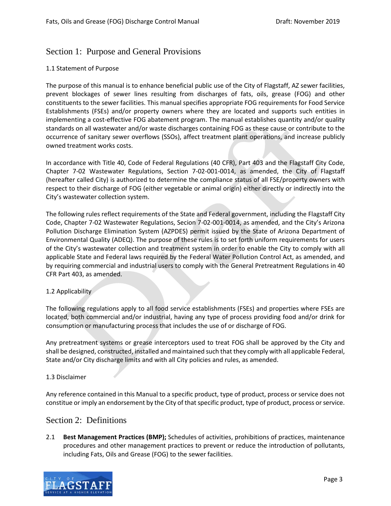## <span id="page-2-0"></span>Section 1: Purpose and General Provisions

#### 1.1 Statement of Purpose

The purpose of this manual is to enhance beneficial public use of the City of Flagstaff, AZ sewer facilities, prevent blockages of sewer lines resulting from discharges of fats, oils, grease (FOG) and other constituents to the sewer facilities. This manual specifies appropriate FOG requirements for Food Service Establishments (FSEs) and/or property owners where they are located and supports such entities in implementing a cost-effective FOG abatement program. The manual establishes quantity and/or quality standards on all wastewater and/or waste discharges containing FOG as these cause or contribute to the occurrence of sanitary sewer overflows (SSOs), affect treatment plant operations, and increase publicly owned treatment works costs.

In accordance with Title 40, Code of Federal Regulations (40 CFR), Part 403 and the Flagstaff City Code, Chapter 7-02 Wastewater Regulations, Section 7-02-001-0014, as amended, the City of Flagstaff (hereafter called City) is authorized to determine the compliance status of all FSE/property owners with respect to their discharge of FOG (either vegetable or animal origin) either directly or indirectly into the City's wastewater collection system.

The following rules reflect requirements of the State and Federal government, including the Flagstaff City Code, Chapter 7-02 Wastewater Regulations, Secion 7-02-001-0014, as amended, and the City's Arizona Pollution Discharge Elimination System (AZPDES) permit issued by the State of Arizona Department of Environmental Quality (ADEQ). The purpose of these rules is to set forth uniform requirements for users of the City's wastewater collection and treatment system in order to enable the City to comply with all applicable State and Federal laws required by the Federal Water Pollution Control Act, as amended, and by requiring commercial and industrial users to comply with the General Pretreatment Regulations in 40 CFR Part 403, as amended.

#### 1.2 Applicability

The following regulations apply to all food service establishments (FSEs) and properties where FSEs are located, both commercial and/or industrial, having any type of process providing food and/or drink for consumption or manufacturing process that includes the use of or discharge of FOG.

Any pretreatment systems or grease interceptors used to treat FOG shall be approved by the City and shall be designed, constructed, installed and maintained such that they comply with all applicable Federal, State and/or City discharge limits and with all City policies and rules, as amended.

#### 1.3 Disclaimer

Any reference contained in this Manual to a specific product, type of product, process or service does not constitue or imply an endorsement by the City of that specific product, type of product, process or service.

## <span id="page-2-1"></span>Section 2: Definitions

2.1 **Best Management Practices (BMP);** Schedules of activities, prohibitions of practices, maintenance procedures and other management practices to prevent or reduce the introduction of pollutants, including Fats, Oils and Grease (FOG) to the sewer facilities.

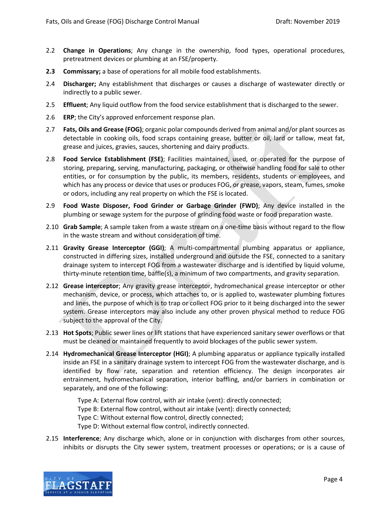- 2.2 **Change in Operations**; Any change in the ownership, food types, operational procedures, pretreatment devices or plumbing at an FSE/property.
- **2.3 Commissary;** a base of operations for all mobile food establishments.
- 2.4 **Discharger;** Any establishment that discharges or causes a discharge of wastewater directly or indirectly to a public sewer.
- 2.5 **Effluent**; Any liquid outflow from the food service establishment that is discharged to the sewer.
- 2.6 **ERP**; the City's approved enforcement response plan.
- 2.7 **Fats, Oils and Grease (FOG)**; organic polar compounds derived from animal and/or plant sources as detectable in cooking oils, food scraps containing grease, butter or oil, lard or tallow, meat fat, grease and juices, gravies, sauces, shortening and dairy products.
- 2.8 **Food Service Establishment (FSE)**; Facilities maintained, used, or operated for the purpose of storing, preparing, serving, manufacturing, packaging, or otherwise handling food for sale to other entities, or for consumption by the public, its members, residents, students or employees, and which has any process or device that uses or produces FOG, or grease, vapors, steam, fumes, smoke or odors, including any real property on which the FSE is located.
- 2.9 **Food Waste Disposer, Food Grinder or Garbage Grinder (FWD)**; Any device installed in the plumbing or sewage system for the purpose of grinding food waste or food preparation waste.
- 2.10 **Grab Sample**; A sample taken from a waste stream on a one-time basis without regard to the flow in the waste stream and without consideration of time.
- 2.11 **Gravity Grease Interceptor (GGI)**; A multi-compartmental plumbing apparatus or appliance, constructed in differing sizes, installed underground and outside the FSE, connected to a sanitary drainage system to intercept FOG from a wastewater discharge and is identified by liquid volume, thirty-minute retention time, baffle(s), a minimum of two compartments, and gravity separation.
- 2.12 **Grease interceptor**; Any gravity grease interceptor, hydromechanical grease interceptor or other mechanism, device, or process, which attaches to, or is applied to, wastewater plumbing fixtures and lines, the purpose of which is to trap or collect FOG prior to it being discharged into the sewer system. Grease interceptors may also include any other proven physical method to reduce FOG subject to the approval of the City.
- 2.13 **Hot Spots**; Public sewer lines or lift stations that have experienced sanitary sewer overflows or that must be cleaned or maintained frequently to avoid blockages of the public sewer system.
- 2.14 **Hydromechanical Grease Interceptor (HGI)**; A plumbing apparatus or appliance typically installed inside an FSE in a sanitary drainage system to intercept FOG from the wastewater discharge, and is identified by flow rate, separation and retention efficiency. The design incorporates air entrainment, hydromechanical separation, interior baffling, and/or barriers in combination or separately, and one of the following:

Type A: External flow control, with air intake (vent): directly connected; Type B: External flow control, without air intake (vent): directly connected; Type C: Without external flow control, directly connected; Type D: Without external flow control, indirectly connected.

2.15 **Interference**; Any discharge which, alone or in conjunction with discharges from other sources, inhibits or disrupts the City sewer system, treatment processes or operations; or is a cause of

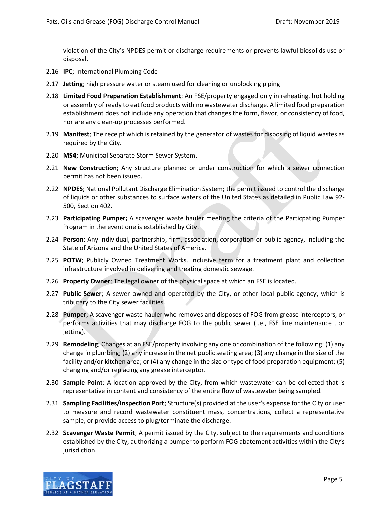violation of the City's NPDES permit or discharge requirements or prevents lawful biosolids use or disposal.

- 2.16 **IPC**; International Plumbing Code
- 2.17 **Jetting**; high pressure water or steam used for cleaning or unblocking piping
- 2.18 **Limited Food Preparation Establishment**; An FSE/property engaged only in reheating, hot holding or assembly of ready to eat food products with no wastewater discharge. A limited food preparation establishment does not include any operation that changes the form, flavor, or consistency of food, nor are any clean-up processes performed.
- 2.19 **Manifest**; The receipt which is retained by the generator of wastes for disposing of liquid wastes as required by the City.
- 2.20 **MS4**; Municipal Separate Storm Sewer System.
- 2.21 **New Construction**; Any structure planned or under construction for which a sewer connection permit has not been issued.
- 2.22 **NPDES**; National Pollutant Discharge Elimination System; the permit issued to control the discharge of liquids or other substances to surface waters of the United States as detailed in Public Law 92- 500, Section 402.
- 2.23 **Participating Pumper;** A scavenger waste hauler meeting the criteria of the Particpating Pumper Program in the event one is established by City.
- 2.24 **Person**; Any individual, partnership, firm, association, corporation or public agency, including the State of Arizona and the United States of America.
- 2.25 **POTW**; Publicly Owned Treatment Works. Inclusive term for a treatment plant and collection infrastructure involved in delivering and treating domestic sewage.
- 2.26 **Property Owner**; The legal owner of the physical space at which an FSE is located.
- 2.27 **Public Sewer**; A sewer owned and operated by the City, or other local public agency, which is tributary to the City sewer facilities.
- 2.28 **Pumper**; A scavenger waste hauler who removes and disposes of FOG from grease interceptors, or performs activities that may discharge FOG to the public sewer (i.e., FSE line maintenance , or jetting).
- 2.29 **Remodeling**; Changes at an FSE/property involving any one or combination of the following: (1) any change in plumbing; (2) any increase in the net public seating area; (3) any change in the size of the facility and/or kitchen area; or (4) any change in the size or type of food preparation equipment; (5) changing and/or replacing any grease interceptor.
- 2.30 **Sample Point**; A location approved by the City, from which wastewater can be collected that is representative in content and consistency of the entire flow of wastewater being sampled.
- 2.31 **Sampling Facilities/Inspection Port**; Structure(s) provided at the user's expense for the City or user to measure and record wastewater constituent mass, concentrations, collect a representative sample, or provide access to plug/terminate the discharge.
- 2.32 **Scavenger Waste Permit**; A permit issued by the City, subject to the requirements and conditions established by the City, authorizing a pumper to perform FOG abatement activities within the City's jurisdiction.

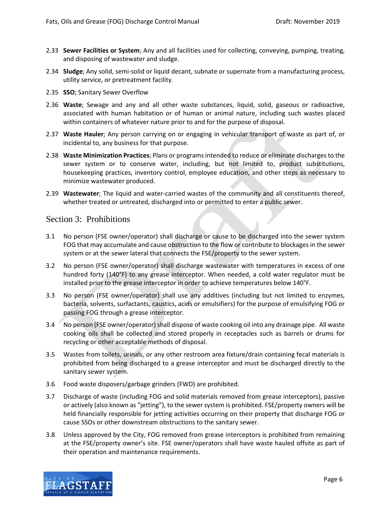- 2.33 **Sewer Facilities or System**; Any and all facilities used for collecting, conveying, pumping, treating, and disposing of wastewater and sludge.
- 2.34 **Sludge**; Any solid, semi-solid or liquid decant, subnate or supernate from a manufacturing process, utility service, or pretreatment facility.
- 2.35 **SSO**; Sanitary Sewer Overflow
- 2.36 **Waste**; Sewage and any and all other waste substances, liquid, solid, gaseous or radioactive, associated with human habitation or of human or animal nature, including such wastes placed within containers of whatever nature prior to and for the purpose of disposal.
- 2.37 **Waste Hauler**; Any person carrying on or engaging in vehicular transport of waste as part of, or incidental to, any business for that purpose.
- 2.38 **Waste Minimization Practices**; Plans or programs intended to reduce or eliminate discharges to the sewer system or to conserve water, including, but not limited to, product substitutions, housekeeping practices, inventory control, employee education, and other steps as necessary to minimize wastewater produced.
- 2.39 **Wastewater**; The liquid and water-carried wastes of the community and all constituents thereof, whether treated or untreated, discharged into or permitted to enter a public sewer.

## <span id="page-5-0"></span>Section 3: Prohibitions

- 3.1 No person (FSE owner/operator) shall discharge or cause to be discharged into the sewer system FOG that may accumulate and cause obstruction to the flow or contribute to blockages in the sewer system or at the sewer lateral that connects the FSE/property to the sewer system.
- 3.2 No person (FSE owner/operator) shall discharge wastewater with temperatures in excess of one hundred forty (140°F) to any grease interceptor. When needed, a cold water regulator must be installed prior to the grease interceptor in order to achieve temperatures below 140°F.
- 3.3 No person (FSE owner/operator) shall use any additives (including but not limited to enzymes, bacteria, solvents, surfactants, caustics, acids or emulsifiers) for the purpose of emulsifying FOG or passing FOG through a grease interceptor.
- 3.4 No person (FSE owner/operator) shall dispose of waste cooking oil into any drainage pipe. All waste cooking oils shall be collected and stored properly in receptacles such as barrels or drums for recycling or other acceptable methods of disposal.
- 3.5 Wastes from toilets, urinals, or any other restroom area fixture/drain containing fecal materials is prohibited from being discharged to a grease interceptor and must be discharged directly to the sanitary sewer system.
- 3.6 Food waste disposers/garbage grinders (FWD) are prohibited.
- 3.7 Discharge of waste (including FOG and solid materials removed from grease interceptors), passive or actively (also known as "jetting"), to the sewer system is prohibited. FSE/property owners will be held financially responsible for jetting activities occurring on their property that discharge FOG or cause SSOs or other downstream obstructions to the sanitary sewer.
- 3.8 Unless approved by the City, FOG removed from grease interceptors is prohibited from remaining at the FSE/property owner's site. FSE owner/operators shall have waste hauled offsite as part of their operation and maintenance requirements.

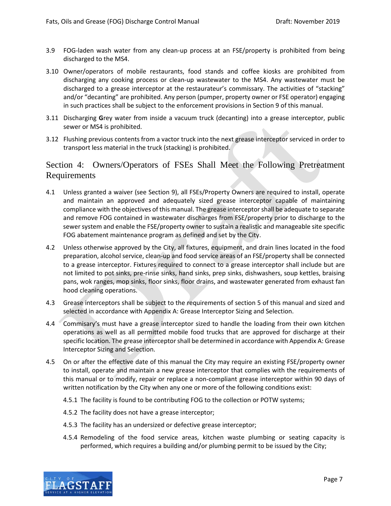- 3.9 FOG-laden wash water from any clean-up process at an FSE/property is prohibited from being discharged to the MS4.
- 3.10 Owner/operators of mobile restaurants, food stands and coffee kiosks are prohibited from discharging any cooking process or clean-up wastewater to the MS4. Any wastewater must be discharged to a grease interceptor at the restaurateur's commissary. The activities of "stacking" and/or "decanting" are prohibited. Any person (pumper, property owner or FSE operator) engaging in such practices shall be subject to the enforcement provisions in Section 9 of this manual.
- 3.11 Discharging **G**rey water from inside a vacuum truck (decanting) into a grease interceptor, public sewer or MS4 is prohibited.
- 3.12 Flushing previous contents from a vactor truck into the next grease interceptor serviced in order to transport less material in the truck (stacking) is prohibited.

# <span id="page-6-0"></span>Section 4: Owners/Operators of FSEs Shall Meet the Following Pretreatment Requirements

- 4.1 Unless granted a waiver (see Section 9), all FSEs/Property Owners are required to install, operate and maintain an approved and adequately sized grease interceptor capable of maintaining compliance with the objectives of this manual. The grease interceptorshall be adequate to separate and remove FOG contained in wastewater discharges from FSE/property prior to discharge to the sewer system and enable the FSE/property owner to sustain a realistic and manageable site specific FOG abatement maintenance program as defined and set by the City.
- 4.2 Unless otherwise approved by the City, all fixtures, equipment, and drain lines located in the food preparation, alcohol service, clean-up and food service areas of an FSE/property shall be connected to a grease interceptor. Fixtures required to connect to a grease interceptor shall include but are not limited to pot sinks, pre-rinse sinks, hand sinks, prep sinks, dishwashers, soup kettles, braising pans, wok ranges, mop sinks, floor sinks, floor drains, and wastewater generated from exhaust fan hood cleaning operations.
- 4.3 Grease interceptors shall be subject to the requirements of section 5 of this manual and sized and selected in accordance with Appendix A: Grease Interceptor Sizing and Selection.
- 4.4 Commisary's must have a grease interceptor sized to handle the loading from their own kitchen operations as well as all permitted mobile food trucks that are approved for discharge at their specific location. The grease interceptor shall be determined in accordance with Appendix A: Grease Interceptor Sizing and Selection.
- 4.5 On or after the effective date of this manual the City may require an existing FSE/property owner to install, operate and maintain a new grease interceptor that complies with the requirements of this manual or to modify, repair or replace a non-compliant grease interceptor within 90 days of written notification by the City when any one or more of the following conditions exist:
	- 4.5.1 The facility is found to be contributing FOG to the collection or POTW systems;
	- 4.5.2 The facility does not have a grease interceptor;
	- 4.5.3 The facility has an undersized or defective grease interceptor;
	- 4.5.4 Remodeling of the food service areas, kitchen waste plumbing or seating capacity is performed, which requires a building and/or plumbing permit to be issued by the City;

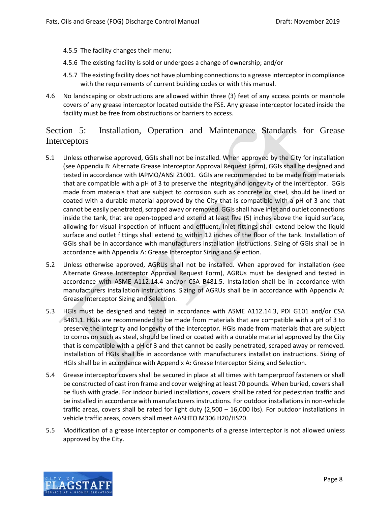- 4.5.5 The facility changes their menu;
- 4.5.6 The existing facility is sold or undergoes a change of ownership; and/or
- 4.5.7 The existing facility does not have plumbing connections to a grease interceptor in compliance with the requirements of current building codes or with this manual.
- 4.6 No landscaping or obstructions are allowed within three (3) feet of any access points or manhole covers of any grease interceptor located outside the FSE. Any grease interceptor located inside the facility must be free from obstructions or barriers to access.

# <span id="page-7-0"></span>Section 5: Installation, Operation and Maintenance Standards for Grease Interceptors

- 5.1 Unless otherwise approved, GGIs shall not be installed. When approved by the City for installation (see Appendix B: Alternate Grease Interceptor Approval Request Form), GGIs shall be designed and tested in accordance with IAPMO/ANSI Z1001. GGIs are recommended to be made from materials that are compatible with a pH of 3 to preserve the integrity and longevity of the interceptor. GGIs made from materials that are subject to corrosion such as concrete or steel, should be lined or coated with a durable material approved by the City that is compatible with a pH of 3 and that cannot be easily penetrated, scraped away or removed. GGIs shall have inlet and outlet connections inside the tank, that are open-topped and extend at least five (5) inches above the liquid surface, allowing for visual inspection of influent and effluent. Inlet fittings shall extend below the liquid surface and outlet fittings shall extend to within 12 inches of the floor of the tank. Installation of GGIs shall be in accordance with manufacturers installation instructions. Sizing of GGIs shall be in accordance with Appendix A: Grease Interceptor Sizing and Selection.
- 5.2 Unless otherwise approved, AGRUs shall not be installed. When approved for installation (see Alternate Grease Interceptor Approval Request Form), AGRUs must be designed and tested in accordance with ASME A112.14.4 and/or CSA B481.5. Installation shall be in accordance with manufacturers installation instructions. Sizing of AGRUs shall be in accordance with Appendix A: Grease Interceptor Sizing and Selection.
- 5.3 HGIs must be designed and tested in accordance with ASME A112.14.3, PDI G101 and/or CSA B481.1. HGIs are recommended to be made from materials that are compatible with a pH of 3 to preserve the integrity and longevity of the interceptor. HGIs made from materials that are subject to corrosion such as steel, should be lined or coated with a durable material approved by the City that is compatible with a pH of 3 and that cannot be easily penetrated, scraped away or removed. Installation of HGIs shall be in accordance with manufacturers installation instructions. Sizing of HGIs shall be in accordance with Appendix A: Grease Interceptor Sizing and Selection.
- 5.4 Grease interceptor covers shall be secured in place at all times with tamperproof fasteners or shall be constructed of cast iron frame and cover weighing at least 70 pounds. When buried, covers shall be flush with grade. For indoor buried installations, covers shall be rated for pedestrian traffic and be installed in accordance with manufacturers instructions. For outdoor installations in non-vehicle traffic areas, covers shall be rated for light duty (2,500 – 16,000 lbs). For outdoor installations in vehicle traffic areas, covers shall meet AASHTO M306 H20/HS20.
- 5.5 Modification of a grease interceptor or components of a grease interceptor is not allowed unless approved by the City.

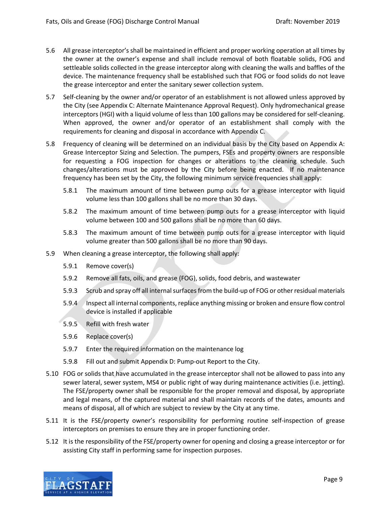- 5.6 All grease interceptor's shall be maintained in efficient and proper working operation at all times by the owner at the owner's expense and shall include removal of both floatable solids, FOG and settleable solids collected in the grease interceptor along with cleaning the walls and baffles of the device. The maintenance frequency shall be established such that FOG or food solids do not leave the grease interceptor and enter the sanitary sewer collection system.
- 5.7 Self-cleaning by the owner and/or operator of an establishment is not allowed unless approved by the City (see Appendix C: Alternate Maintenance Approval Request). Only hydromechanical grease interceptors (HGI) with a liquid volume of less than 100 gallons may be considered for self-cleaning. When approved, the owner and/or operator of an establishment shall comply with the requirements for cleaning and disposal in accordance with Appendix C.
- 5.8 Frequency of cleaning will be determined on an individual basis by the City based on Appendix A: Grease Interceptor Sizing and Selection. The pumpers, FSEs and property owners are responsible for requesting a FOG inspection for changes or alterations to the cleaning schedule. Such changes/alterations must be approved by the City before being enacted. If no maintenance frequency has been set by the City, the following minimum service frequencies shall apply:
	- 5.8.1 The maximum amount of time between pump outs for a grease interceptor with liquid volume less than 100 gallons shall be no more than 30 days.
	- 5.8.2 The maximum amount of time between pump outs for a grease interceptor with liquid volume between 100 and 500 gallons shall be no more than 60 days.
	- 5.8.3 The maximum amount of time between pump outs for a grease interceptor with liquid volume greater than 500 gallons shall be no more than 90 days.
- 5.9 When cleaning a grease interceptor, the following shall apply:
	- 5.9.1 Remove cover(s)
	- 5.9.2 Remove all fats, oils, and grease (FOG), solids, food debris, and wastewater
	- 5.9.3 Scrub and spray off all internal surfaces from the build-up of FOG or other residual materials
	- 5.9.4 Inspect all internal components, replace anything missing or broken and ensure flow control device is installed if applicable
	- 5.9.5 Refill with fresh water
	- 5.9.6 Replace cover(s)
	- 5.9.7 Enter the required information on the maintenance log
	- 5.9.8 Fill out and submit Appendix D: Pump-out Report to the City.
- 5.10 FOG or solids that have accumulated in the grease interceptor shall not be allowed to pass into any sewer lateral, sewer system, MS4 or public right of way during maintenance activities (i.e. jetting). The FSE/property owner shall be responsible for the proper removal and disposal, by appropriate and legal means, of the captured material and shall maintain records of the dates, amounts and means of disposal, all of which are subject to review by the City at any time.
- 5.11 It is the FSE/property owner's responsibility for performing routine self-inspection of grease interceptors on premises to ensure they are in proper functioning order.
- 5.12 It is the responsibility of the FSE/property owner for opening and closing a grease interceptor or for assisting City staff in performing same for inspection purposes.

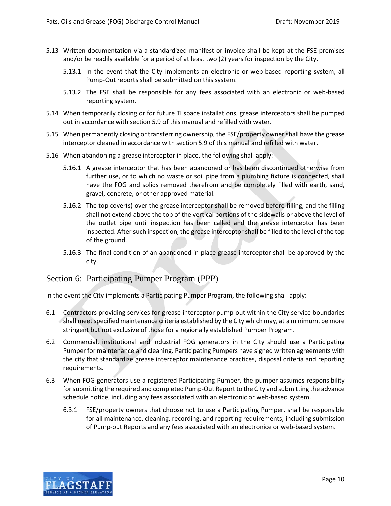- 5.13 Written documentation via a standardized manifest or invoice shall be kept at the FSE premises and/or be readily available for a period of at least two (2) years for inspection by the City.
	- 5.13.1 In the event that the City implements an electronic or web-based reporting system, all Pump-Out reports shall be submitted on this system.
	- 5.13.2 The FSE shall be responsible for any fees associated with an electronic or web-based reporting system.
- 5.14 When temporarily closing or for future TI space installations, grease interceptors shall be pumped out in accordance with section 5.9 of this manual and refilled with water.
- 5.15 When permanently closing or transferring ownership, the FSE/property owner shall have the grease interceptor cleaned in accordance with section 5.9 of this manual and refilled with water.
- 5.16 When abandoning a grease interceptor in place, the following shall apply:
	- 5.16.1 A grease interceptor that has been abandoned or has been discontinued otherwise from further use, or to which no waste or soil pipe from a plumbing fixture is connected, shall have the FOG and solids removed therefrom and be completely filled with earth, sand, gravel, concrete, or other approved material.
	- 5.16.2 The top cover(s) over the grease interceptor shall be removed before filling, and the filling shall not extend above the top of the vertical portions of the sidewalls or above the level of the outlet pipe until inspection has been called and the grease interceptor has been inspected. After such inspection, the grease interceptor shall be filled to the level of the top of the ground.
	- 5.16.3 The final condition of an abandoned in place grease interceptor shall be approved by the city.

## <span id="page-9-0"></span>Section 6: Participating Pumper Program (PPP)

In the event the City implements a Participating Pumper Program, the following shall apply:

- 6.1 Contractors providing services for grease interceptor pump-out within the City service boundaries shall meet specified maintenance criteria established by the City which may, at a minimum, be more stringent but not exclusive of those for a regionally established Pumper Program.
- 6.2 Commercial, institutional and industrial FOG generators in the City should use a Participating Pumper for maintenance and cleaning. Participating Pumpers have signed written agreements with the city that standardize grease interceptor maintenance practices, disposal criteria and reporting requirements.
- 6.3 When FOG generators use a registered Participating Pumper, the pumper assumes responsibility for submitting the required and completed Pump-Out Report to the City and submitting the advance schedule notice, including any fees associated with an electronic or web-based system.
	- 6.3.1 FSE/property owners that choose not to use a Participating Pumper, shall be responsible for all maintenance, cleaning, recording, and reporting requirements, including submission of Pump-out Reports and any fees associated with an electronice or web-based system.

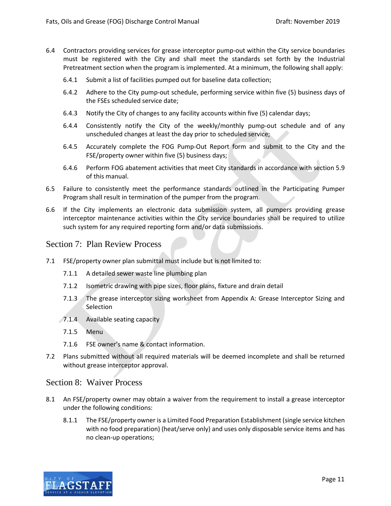- 6.4 Contractors providing services for grease interceptor pump-out within the City service boundaries must be registered with the City and shall meet the standards set forth by the Industrial Pretreatment section when the program is implemented. At a minimum, the following shall apply:
	- 6.4.1 Submit a list of facilities pumped out for baseline data collection;
	- 6.4.2 Adhere to the City pump-out schedule, performing service within five (5) business days of the FSEs scheduled service date;
	- 6.4.3 Notify the City of changes to any facility accounts within five (5) calendar days;
	- 6.4.4 Consistently notify the City of the weekly/monthly pump-out schedule and of any unscheduled changes at least the day prior to scheduled service;
	- 6.4.5 Accurately complete the FOG Pump-Out Report form and submit to the City and the FSE/property owner within five (5) business days;
	- 6.4.6 Perform FOG abatement activities that meet City standards in accordance with section 5.9 of this manual.
- 6.5 Failure to consistently meet the performance standards outlined in the Participating Pumper Program shall result in termination of the pumper from the program.
- 6.6 If the City implements an electronic data submission system, all pumpers providing grease interceptor maintenance activities within the City service boundaries shall be required to utilize such system for any required reporting form and/or data submissions.

## <span id="page-10-0"></span>Section 7: Plan Review Process

- 7.1 FSE/property owner plan submittal must include but is not limited to:
	- 7.1.1 A detailed sewer waste line plumbing plan
	- 7.1.2 Isometric drawing with pipe sizes, floor plans, fixture and drain detail
	- 7.1.3 The grease interceptor sizing worksheet from Appendix A: Grease Interceptor Sizing and **Selection**
	- 7.1.4 Available seating capacity
	- 7.1.5 Menu
	- 7.1.6 FSE owner's name & contact information.
- 7.2 Plans submitted without all required materials will be deemed incomplete and shall be returned without grease interceptor approval.

## <span id="page-10-1"></span>Section 8: Waiver Process

- 8.1 An FSE/property owner may obtain a waiver from the requirement to install a grease interceptor under the following conditions:
	- 8.1.1 The FSE/property owner is a Limited Food Preparation Establishment (single service kitchen with no food preparation) (heat/serve only) and uses only disposable service items and has no clean-up operations;

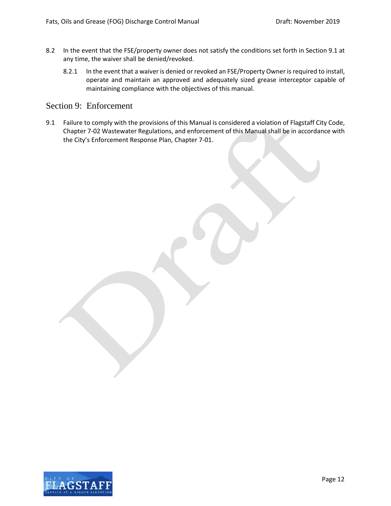- 8.2 In the event that the FSE/property owner does not satisfy the conditions set forth in Section 9.1 at any time, the waiver shall be denied/revoked.
	- 8.2.1 In the event that a waiver is denied or revoked an FSE/Property Owner is required to install, operate and maintain an approved and adequately sized grease interceptor capable of maintaining compliance with the objectives of this manual.

## <span id="page-11-0"></span>Section 9: Enforcement

9.1 Failure to comply with the provisions of this Manual is considered a violation of Flagstaff City Code, Chapter 7-02 Wastewater Regulations, and enforcement of this Manual shall be in accordance with the City's Enforcement Response Plan, Chapter 7-01.

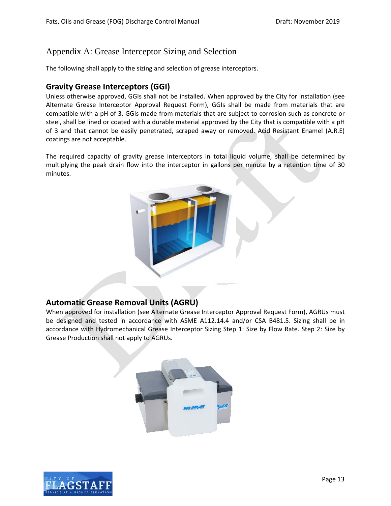# <span id="page-12-0"></span>Appendix A: Grease Interceptor Sizing and Selection

The following shall apply to the sizing and selection of grease interceptors.

# **Gravity Grease Interceptors (GGI)**

Unless otherwise approved, GGIs shall not be installed. When approved by the City for installation (see Alternate Grease Interceptor Approval Request Form), GGIs shall be made from materials that are compatible with a pH of 3. GGIs made from materials that are subject to corrosion such as concrete or steel, shall be lined or coated with a durable material approved by the City that is compatible with a pH of 3 and that cannot be easily penetrated, scraped away or removed. Acid Resistant Enamel (A.R.E) coatings are not acceptable.

The required capacity of gravity grease interceptors in total liquid volume, shall be determined by multiplying the peak drain flow into the interceptor in gallons per minute by a retention time of 30 minutes.



## **Automatic Grease Removal Units (AGRU)**

When approved for installation (see Alternate Grease Interceptor Approval Request Form), AGRUs must be designed and tested in accordance with ASME A112.14.4 and/or CSA B481.5. Sizing shall be in accordance with Hydromechanical Grease Interceptor Sizing Step 1: Size by Flow Rate. Step 2: Size by Grease Production shall not apply to AGRUs.



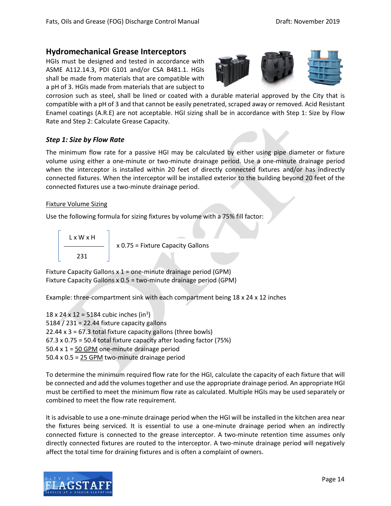## **Hydromechanical Grease Interceptors**

HGIs must be designed and tested in accordance with ASME A112.14.3, PDI G101 and/or CSA B481.1. HGIs shall be made from materials that are compatible with a pH of 3. HGIs made from materials that are subject to



corrosion such as steel, shall be lined or coated with a durable material approved by the City that is compatible with a pH of 3 and that cannot be easily penetrated, scraped away or removed. Acid Resistant Enamel coatings (A.R.E) are not acceptable. HGI sizing shall be in accordance with Step 1: Size by Flow Rate and Step 2: Calculate Grease Capacity.

#### *Step 1: Size by Flow Rate*

The minimum flow rate for a passive HGI may be calculated by either using pipe diameter or fixture volume using either a one-minute or two-minute drainage period. Use a one-minute drainage period when the interceptor is installed within 20 feet of directly connected fixtures and/or has indirectly connected fixtures. When the interceptor will be installed exterior to the building beyond 20 feet of the connected fixtures use a two-minute drainage period.

#### Fixture Volume Sizing

Use the following formula for sizing fixtures by volume with a 75% fill factor:



Fixture Capacity Gallons x 1 = one-minute drainage period (GPM) Fixture Capacity Gallons x 0.5 = two-minute drainage period (GPM)

Example: three-compartment sink with each compartment being 18 x 24 x 12 inches

 $18 \times 24 \times 12 = 5184$  cubic inches (in<sup>3</sup>) 5184 / 231 = 22.44 fixture capacity gallons 22.44  $\times$  3 = 67.3 total fixture capacity gallons (three bowls) 67.3 x 0.75 = 50.4 total fixture capacity after loading factor (75%) 50.4  $x$  1 = 50 GPM one-minute drainage period 50.4 x 0.5 = 25 GPM two-minute drainage period

To determine the minimum required flow rate for the HGI, calculate the capacity of each fixture that will be connected and add the volumes together and use the appropriate drainage period. An appropriate HGI must be certified to meet the minimum flow rate as calculated. Multiple HGIs may be used separately or combined to meet the flow rate requirement.

It is advisable to use a one-minute drainage period when the HGI will be installed in the kitchen area near the fixtures being serviced. It is essential to use a one-minute drainage period when an indirectly connected fixture is connected to the grease interceptor. A two-minute retention time assumes only directly connected fixtures are routed to the interceptor. A two-minute drainage period will negatively affect the total time for draining fixtures and is often a complaint of owners.

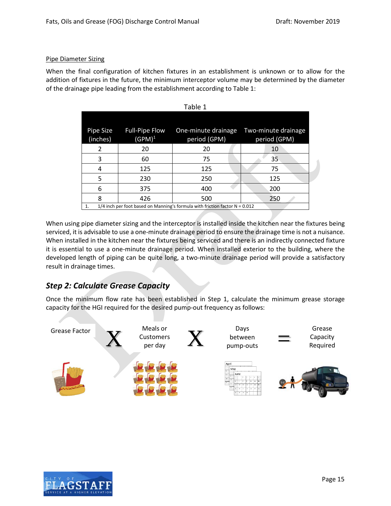### Pipe Diameter Sizing

When the final configuration of kitchen fixtures in an establishment is unknown or to allow for the addition of fixtures in the future, the minimum interceptor volume may be determined by the diameter of the drainage pipe leading from the establishment according to Table 1:

| Pipe Size<br>(inches)                                                               | <b>Full-Pipe Flow</b><br>$(GPM)^1$ | One-minute drainage<br>period (GPM) | Two-minute drainage<br>period (GPM) |
|-------------------------------------------------------------------------------------|------------------------------------|-------------------------------------|-------------------------------------|
| 2                                                                                   | 20                                 | 20                                  | 10                                  |
| 3                                                                                   | 60                                 | 75                                  | 35                                  |
| 4                                                                                   | 125                                | 125                                 | 75                                  |
| 5                                                                                   | 230                                | 250                                 | 125                                 |
| 6                                                                                   | 375                                | 400                                 | 200                                 |
| 8                                                                                   | 426                                | 500                                 | 250                                 |
| 1/4 inch per foot based on Manning's formula with friction factor $N = 0.012$<br>1. |                                    |                                     |                                     |

| able |  |
|------|--|
|      |  |

When using pipe diameter sizing and the interceptor is installed inside the kitchen near the fixtures being serviced, it is advisable to use a one-minute drainage period to ensure the drainage time is not a nuisance. When installed in the kitchen near the fixtures being serviced and there is an indirectly connected fixture it is essential to use a one-minute drainage period. When installed exterior to the building, where the developed length of piping can be quite long, a two-minute drainage period will provide a satisfactory result in drainage times.

# *Step 2: Calculate Grease Capacity*

Once the minimum flow rate has been established in Step 1, calculate the minimum grease storage capacity for the HGI required for the desired pump-out frequency as follows:



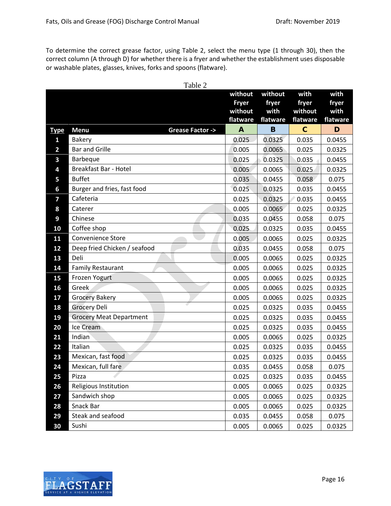To determine the correct grease factor, using Table 2, select the menu type (1 through 30), then the correct column (A through D) for whether there is a fryer and whether the establishment uses disposable or washable plates, glasses, knives, forks and spoons (flatware).

|                | Table 2                           |                |                  |                |                  |
|----------------|-----------------------------------|----------------|------------------|----------------|------------------|
|                |                                   | without        | without          | with           | with             |
|                |                                   | <b>Fryer</b>   | fryer            | fryer          | fryer            |
|                |                                   | without        | with             | without        | with             |
|                |                                   | flatware       | flatware         | flatware       | flatware         |
| <b>Type</b>    | <b>Menu</b><br>Grease Factor ->   | $\mathbf{A}$   | B                | $\mathbf C$    | D                |
| $\mathbf{1}$   | <b>Bakery</b>                     | 0.025          | 0.0325           | 0.035          | 0.0455           |
| $\overline{2}$ | <b>Bar and Grille</b>             | 0.005          | 0.0065           | 0.025          | 0.0325           |
| 3              | Barbeque<br>Breakfast Bar - Hotel | 0.025          | 0.0325           | 0.035          | 0.0455           |
| 4              | <b>Buffet</b>                     | 0.005          | 0.0065           | 0.025          | 0.0325           |
| 5              | Burger and fries, fast food       | 0.035          | 0.0455           | 0.058          | 0.075            |
| 6<br>7         | Cafeteria                         | 0.025<br>0.025 | 0.0325<br>0.0325 | 0.035<br>0.035 | 0.0455           |
| 8              | Caterer                           | 0.005          | 0.0065           | 0.025          | 0.0455<br>0.0325 |
| 9              | Chinese                           | 0.035          | 0.0455           | 0.058          | 0.075            |
| 10             | Coffee shop                       | 0.025          | 0.0325           | 0.035          | 0.0455           |
| 11             | <b>Convenience Store</b>          | 0.005          | 0.0065           | 0.025          | 0.0325           |
| 12             | Deep fried Chicken / seafood      | 0.035          | 0.0455           | 0.058          | 0.075            |
| 13             | Deli                              | 0.005          | 0.0065           | 0.025          | 0.0325           |
| 14             | <b>Family Restaurant</b>          | 0.005          | 0.0065           | 0.025          | 0.0325           |
| 15             | Frozen Yogurt                     | 0.005          | 0.0065           | 0.025          | 0.0325           |
| 16             | Greek                             | 0.005          | 0.0065           | 0.025          | 0.0325           |
| 17             | <b>Grocery Bakery</b>             | 0.005          | 0.0065           | 0.025          | 0.0325           |
| 18             | <b>Grocery Deli</b>               | 0.025          | 0.0325           | 0.035          | 0.0455           |
| 19             | <b>Grocery Meat Department</b>    | 0.025          | 0.0325           | 0.035          | 0.0455           |
| 20             | Ice Cream                         | 0.025          | 0.0325           | 0.035          | 0.0455           |
| 21             | Indian                            | 0.005          | 0.0065           | 0.025          | 0.0325           |
| 22             | Italian                           | 0.025          | 0.0325           | 0.035          | 0.0455           |
| 23             | Mexican, fast food                | 0.025          | 0.0325           | 0.035          | 0.0455           |
| 24             | Mexican, full fare                | 0.035          | 0.0455           | 0.058          | 0.075            |
| 25             | Pizza                             | 0.025          | 0.0325           | 0.035          | 0.0455           |
| 26             | Religious Institution             | 0.005          | 0.0065           | 0.025          | 0.0325           |
| 27             | Sandwich shop                     | 0.005          | 0.0065           | 0.025          | 0.0325           |
| 28             | Snack Bar                         | 0.005          | 0.0065           | 0.025          | 0.0325           |
| 29             | Steak and seafood                 | 0.035          | 0.0455           | 0.058          | 0.075            |
| 30             | Sushi                             | 0.005          | 0.0065           | 0.025          | 0.0325           |

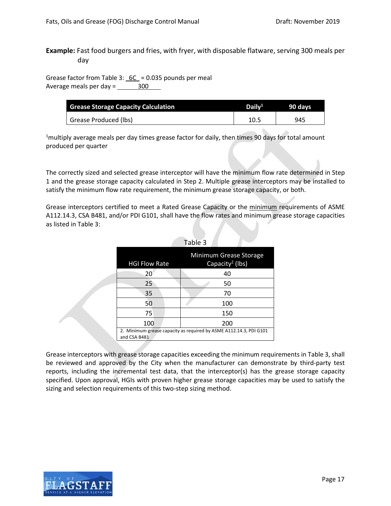**Example:** Fast food burgers and fries, with fryer, with disposable flatware, serving 300 meals per day

Grease factor from Table 3:  $6C = 0.035$  pounds per meal Average meals per day  $=$  300

| <b>Grease Storage Capacity Calculation</b> | Daily <sup>1</sup> | 90 davs |
|--------------------------------------------|--------------------|---------|
| Grease Produced (lbs)                      | 10.5               | 945     |

<sup>1</sup>multiply average meals per day times grease factor for daily, then times 90 days for total amount produced per quarter

The correctly sized and selected grease interceptor will have the minimum flow rate determined in Step 1 and the grease storage capacity calculated in Step 2. Multiple grease interceptors may be installed to satisfy the minimum flow rate requirement, the minimum grease storage capacity, or both.

Grease interceptors certified to meet a Rated Grease Capacity or the minimum requirements of ASME A112.14.3, CSA B481, and/or PDI G101, shall have the flow rates and minimum grease storage capacities as listed in Table 3:

|                      | , uvic J                                                           |
|----------------------|--------------------------------------------------------------------|
| <b>HGI Flow Rate</b> | Minimum Grease Storage<br>Capacity <sup>2</sup> (lbs)              |
| 20                   | 40                                                                 |
| 25                   | 50                                                                 |
| 35                   | 70                                                                 |
| 50                   | 100                                                                |
| 75                   | 150                                                                |
| 100                  | 200                                                                |
| and CSA B481         | 2. Minimum grease capacity as required by ASME A112.14.3, PDI G101 |

| Table 3 |  |  |
|---------|--|--|
|         |  |  |

Grease interceptors with grease storage capacities exceeding the minimum requirements in Table 3, shall be reviewed and approved by the City when the manufacturer can demonstrate by third-party test reports, including the incremental test data, that the interceptor(s) has the grease storage capacity specified. Upon approval, HGIs with proven higher grease storage capacities may be used to satisfy the sizing and selection requirements of this two-step sizing method.

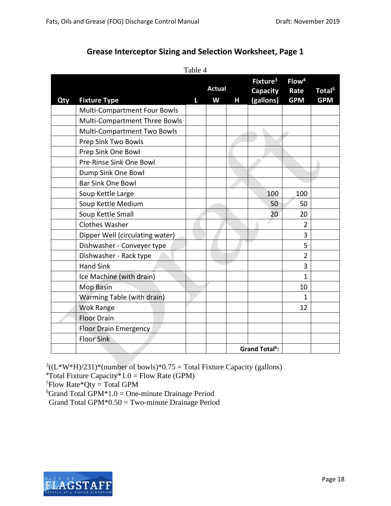# **Grease Interceptor Sizing and Selection Worksheet, Page 1**

| Qty | <b>Fixture Type</b>             | 1 uviv<br>L | <b>Actual</b><br>W | Н | Fixture <sup>3</sup><br><b>Capacity</b><br>(gallons) | Flow <sup>4</sup><br>Rate<br><b>GPM</b> | Total <sup>5</sup><br><b>GPM</b> |
|-----|---------------------------------|-------------|--------------------|---|------------------------------------------------------|-----------------------------------------|----------------------------------|
|     | Multi-Compartment Four Bowls    |             |                    |   |                                                      |                                         |                                  |
|     | Multi-Compartment Three Bowls   |             |                    |   |                                                      |                                         |                                  |
|     | Multi-Compartment Two Bowls     |             |                    |   |                                                      |                                         |                                  |
|     | Prep Sink Two Bowls             |             |                    |   |                                                      |                                         |                                  |
|     | Prep Sink One Bowl              |             |                    |   |                                                      |                                         |                                  |
|     | Pre-Rinse Sink One Bowl         |             |                    |   |                                                      |                                         |                                  |
|     | Dump Sink One Bowl              |             |                    |   |                                                      |                                         |                                  |
|     | <b>Bar Sink One Bowl</b>        |             |                    |   |                                                      |                                         |                                  |
|     | Soup Kettle Large               |             |                    |   | 100                                                  | 100                                     |                                  |
|     | Soup Kettle Medium              |             |                    |   | 50                                                   | 50                                      |                                  |
|     | Soup Kettle Small               |             |                    |   | 20                                                   | 20                                      |                                  |
|     | <b>Clothes Washer</b>           |             |                    |   |                                                      | $\overline{2}$                          |                                  |
|     | Dipper Well (circulating water) |             |                    |   |                                                      | 3                                       |                                  |
|     | Dishwasher - Conveyer type      |             |                    |   |                                                      | 5                                       |                                  |
|     | Dishwasher - Rack type          |             |                    |   |                                                      | $\overline{2}$                          |                                  |
|     | <b>Hand Sink</b>                |             |                    |   |                                                      | 3                                       |                                  |
|     | Ice Machine (with drain)        |             |                    |   |                                                      | $\overline{1}$                          |                                  |
|     | <b>Mop Basin</b>                |             |                    |   |                                                      | 10                                      |                                  |
|     | Warming Table (with drain)      |             |                    |   |                                                      | $\mathbf{1}$                            |                                  |
|     | <b>Wok Range</b>                |             |                    |   |                                                      | 12                                      |                                  |
|     | <b>Floor Drain</b>              |             |                    |   |                                                      |                                         |                                  |
|     | Floor Drain Emergency           |             |                    |   |                                                      |                                         |                                  |
|     | <b>Floor Sink</b>               |             |                    |   |                                                      |                                         |                                  |
|     |                                 |             |                    |   | <b>Grand Total<sup>6</sup>:</b>                      |                                         |                                  |

Table 4

 $3((L*W*H)/231)*(number of bowls)*0.75 = Total Fixture Capacity (gallons)$ 

<sup>4</sup>Total Fixture Capacity  $*1.0$  = Flow Rate (GPM)

 ${}^{5}$ Flow Rate\*Qty = Total GPM

 ${}^{6}$ Grand Total GPM $*1.0 =$ One-minute Drainage Period

Grand Total GPM\*0.50 = Two-minute Drainage Period

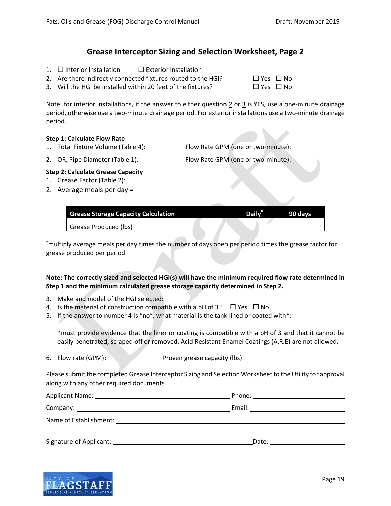## **Grease Interceptor Sizing and Selection Worksheet, Page 2**

- 1.  $\Box$  Interior Installation  $\Box$  Exterior Installation
- 2. Are there indirectly connected fixtures routed to the HGI?  $\Box$  Yes  $\Box$  No
- 3. Will the HGI be installed within 20 feet of the fixtures?  $\Box$  Yes  $\Box$  No

Note: for interior installations, if the answer to either question 2 or 3 is YES, use a one-minute drainage period, otherwise use a two-minute drainage period. For exterior installations use a two-minute drainage period.

#### **Step 1: Calculate Flow Rate**

- 1. Total Fixture Volume (Table 4): Flow Rate GPM (one or two-minute):
- 2. OR, Pipe Diameter (Table 1): Flow Rate GPM (one or two-minute):

## **Step 2: Calculate Grease Capacity**

- 1. Grease Factor (Table 2):
- 2. Average meals per day =

| <b>Grease Storage Capacity Calculation</b> | <b>Daily</b> | .90 davsl |
|--------------------------------------------|--------------|-----------|
| Grease Produced (lbs)                      |              |           |

\* multiply average meals per day times the number of days open per period times the grease factor for grease produced per period

## **Note: The correctly sized and selected HGI(s) will have the minimum required flow rate determined in Step 1 and the minimum calculated grease storage capacity determined in Step 2.**

- 3. Make and model of the HGI selected:
- 4. Is the material of construction compatible with a pH of 3?  $\Box$  Yes  $\Box$  No
- 5. If the answer to number  $\underline{4}$  is "no", what material is the tank lined or coated with\*:

\*must provide evidence that the liner or coating is compatible with a pH of 3 and that it cannot be easily penetrated, scraped off or removed. Acid Resistant Enamel Coatings (A.R.E) are not allowed.

6. Flow rate (GPM): Proven grease capacity (lbs):

Please submit the completed Grease Interceptor Sizing and Selection Worksheet to the Utility for approval along with any other required documents.

|                         | Email: __________________________ |
|-------------------------|-----------------------------------|
| Name of Establishment:  |                                   |
| Signature of Applicant: | Date:                             |

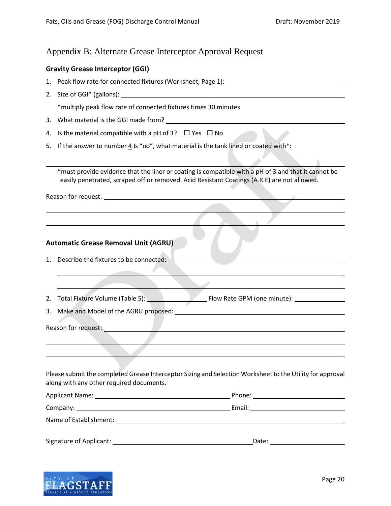## <span id="page-19-0"></span>Appendix B: Alternate Grease Interceptor Approval Request

#### **Gravity Grease Interceptor (GGI)**

- 1. Peak flow rate for connected fixtures (Worksheet, Page 1):
- 2. Size of GGI\* (gallons): \*multiply peak flow rate of connected fixtures times 30 minutes
- 3. What material is the GGI made from?
- 4. Is the material compatible with a pH of 3?  $\Box$  Yes  $\Box$  No
- 5. If the answer to number  $4 \text{ ls }$  "no", what material is the tank lined or coated with\*:

\*must provide evidence that the liner or coating is compatible with a pH of 3 and that it cannot be easily penetrated, scraped off or removed. Acid Resistant Coatings (A.R.E) are not allowed.

Reason for request:

#### **Automatic Grease Removal Unit (AGRU)**

- 1. Describe the fixtures to be connected:
- 2. Total Fixture Volume (Table 5): Flow Rate GPM (one minute): \_\_\_\_\_\_\_\_\_\_\_\_\_\_\_\_\_
- 3. Make and Model of the AGRU proposed:

Reason for request:<br>
<u>Letter</u>

Please submit the completed Grease Interceptor Sizing and Selection Worksheet to the Utility for approval along with any other required documents.

| Applicant Name: The contract of the contract of the contract of the contract of the contract of the contract of the contract of the contract of the contract of the contract of the contract of the contract of the contract o | Phone: and the contract of the contract of the contract of the contract of the contract of the contract of the |  |
|--------------------------------------------------------------------------------------------------------------------------------------------------------------------------------------------------------------------------------|----------------------------------------------------------------------------------------------------------------|--|
|                                                                                                                                                                                                                                | Email:<br>the contract of the contract of the contract of the contract of the contract of                      |  |
| Name of Establishment:                                                                                                                                                                                                         |                                                                                                                |  |
| Signature of Applicant:                                                                                                                                                                                                        | Date:                                                                                                          |  |

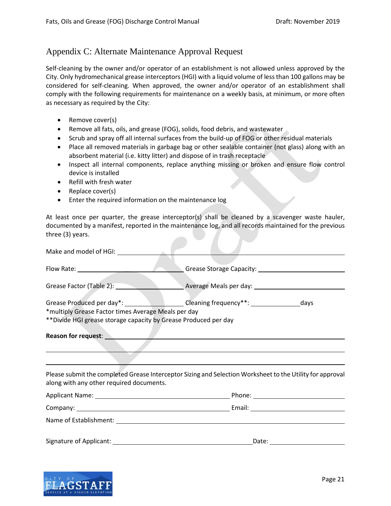# <span id="page-20-0"></span>Appendix C: Alternate Maintenance Approval Request

Self-cleaning by the owner and/or operator of an establishment is not allowed unless approved by the City. Only hydromechanical grease interceptors (HGI) with a liquid volume of less than 100 gallons may be considered for self-cleaning. When approved, the owner and/or operator of an establishment shall comply with the following requirements for maintenance on a weekly basis, at minimum, or more often as necessary as required by the City:

- Remove cover(s)
- Remove all fats, oils, and grease (FOG), solids, food debris, and wastewater
- Scrub and spray off all internal surfaces from the build-up of FOG or other residual materials
- Place all removed materials in garbage bag or other sealable container (not glass) along with an absorbent material (i.e. kitty litter) and dispose of in trash receptacle
- Inspect all internal components, replace anything missing or broken and ensure flow control device is installed
- Refill with fresh water
- Replace cover(s)
- Enter the required information on the maintenance log

At least once per quarter, the grease interceptor(s) shall be cleaned by a scavenger waste hauler, documented by a manifest, reported in the maintenance log, and all records maintained for the previous three (3) years.

| Make and model of HGI: New York Canada and Model of HGI:                                                                                                                                                                       |                                                                                                           |
|--------------------------------------------------------------------------------------------------------------------------------------------------------------------------------------------------------------------------------|-----------------------------------------------------------------------------------------------------------|
|                                                                                                                                                                                                                                |                                                                                                           |
|                                                                                                                                                                                                                                | Grease Factor (Table 2): Next Average Meals per day: Next Average Meals per day:                          |
| *multiply Grease Factor times Average Meals per day                                                                                                                                                                            | Grease Produced per day*: ______________________Cleaning frequency**: ____________________days            |
| ** Divide HGI grease storage capacity by Grease Produced per day                                                                                                                                                               |                                                                                                           |
| Reason for request: New York State State State State State State State State State State State State State State State State State State State State State State State State State State State State State State State State S |                                                                                                           |
| along with any other required documents.                                                                                                                                                                                       | Please submit the completed Grease Interceptor Sizing and Selection Worksheet to the Utility for approval |
|                                                                                                                                                                                                                                |                                                                                                           |
|                                                                                                                                                                                                                                |                                                                                                           |
|                                                                                                                                                                                                                                |                                                                                                           |
|                                                                                                                                                                                                                                | Date: ____________                                                                                        |

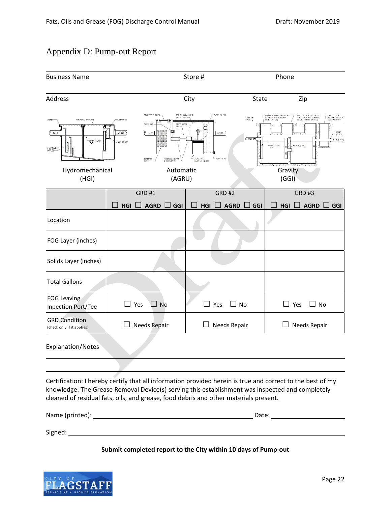# <span id="page-21-0"></span>Appendix D: Pump-out Report

| <b>Business Name</b>                                                                               |                                                                                                                                                                                                                          |                                    | Phone<br>Store #                                                                                                                                |                                                                                                                                                                                                |  |
|----------------------------------------------------------------------------------------------------|--------------------------------------------------------------------------------------------------------------------------------------------------------------------------------------------------------------------------|------------------------------------|-------------------------------------------------------------------------------------------------------------------------------------------------|------------------------------------------------------------------------------------------------------------------------------------------------------------------------------------------------|--|
| Address                                                                                            |                                                                                                                                                                                                                          | City                               |                                                                                                                                                 | Zip                                                                                                                                                                                            |  |
| GASKET-<br>NON-SKID COVER 7<br>0<br><b>NLET</b><br>-STATIC FLUID<br>LEVEL<br>REMOVEABLE<br>BAFFLES | REMOVEABLE COVER<br>FOG SKIMMING WHEEL<br>(INSIDE GRD)<br>CLEANOUT<br>TMER UNIT<br>STATIC WATER<br><b>LIVE</b><br>圍<br><b>BEET</b><br>outLET Q<br><b>IN.FT</b><br>AIR REUEF<br>SCREENED<br>BASKET -<br>ELECTRICAL HEATER |                                    | - PROVIDE MANHOLE EXTENSIONS<br>AS REQUIRED FOR PROPER<br>DEPTH (TYPICAL)<br>GRADE OR<br>PAVING T<br><b>S INLET E</b><br>-SIATIC FLUID<br>LEVEL | SEALED & GASKETED TRAFFIC<br>RATED COVER WITH CONCRETE<br>PAD ALL AROUND (TYPICAL)<br>SAMPLE PIT (AS<br>REQUIRED BY LOCAL<br>CODE AUTHORITY)<br>-GROUT<br>(TYPICAL)<br>目 outur 9<br>AFTLE WALL |  |
| Hydromechanical<br>(HGI)                                                                           |                                                                                                                                                                                                                          | Automatic<br>(AGRU)                |                                                                                                                                                 | Gravity<br>(GGI)                                                                                                                                                                               |  |
|                                                                                                    | <b>GRD #1</b>                                                                                                                                                                                                            | <b>GRD #2</b>                      |                                                                                                                                                 | <b>GRD #3</b>                                                                                                                                                                                  |  |
|                                                                                                    | <b>AGRD</b><br>HGI<br>GGI                                                                                                                                                                                                | <b>AGRD</b><br>HGI                 | GGI<br>HGI                                                                                                                                      | <b>AGRD</b><br>GGI                                                                                                                                                                             |  |
| Location                                                                                           |                                                                                                                                                                                                                          |                                    |                                                                                                                                                 |                                                                                                                                                                                                |  |
| FOG Layer (inches)                                                                                 |                                                                                                                                                                                                                          |                                    |                                                                                                                                                 |                                                                                                                                                                                                |  |
| Solids Layer (inches)                                                                              |                                                                                                                                                                                                                          |                                    |                                                                                                                                                 |                                                                                                                                                                                                |  |
| <b>Total Gallons</b>                                                                               |                                                                                                                                                                                                                          |                                    |                                                                                                                                                 |                                                                                                                                                                                                |  |
| FOG Leaving<br>Inpection Port/Tee                                                                  | <b>No</b><br>$\mathcal{L}$<br>Yes                                                                                                                                                                                        | $\Box$ No<br>$\blacksquare$<br>Yes |                                                                                                                                                 | No<br>Yes<br>l.                                                                                                                                                                                |  |
| <b>GRD</b> Condition<br>(check only if it applies)                                                 | Needs Repair<br>$\Box$                                                                                                                                                                                                   | Needs Repair                       |                                                                                                                                                 | Needs Repair                                                                                                                                                                                   |  |
| Evnlanation/Notes                                                                                  |                                                                                                                                                                                                                          |                                    |                                                                                                                                                 |                                                                                                                                                                                                |  |

Explanation/Notes

Certification: I hereby certify that all information provided herein is true and correct to the best of my knowledge. The Grease Removal Device(s) serving this establishment was inspected and completely cleaned of residual fats, oils, and grease, food debris and other materials present.

| Name (printed): | Date: |
|-----------------|-------|
|                 |       |
| Signed:         |       |

## **Submit completed report to the City within 10 days of Pump-out**

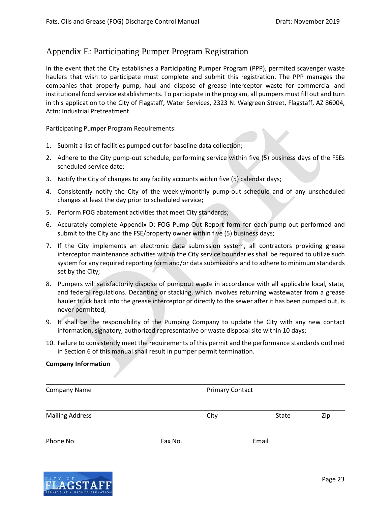# <span id="page-22-0"></span>Appendix E: Participating Pumper Program Registration

In the event that the City establishes a Participating Pumper Program (PPP), permited scavenger waste haulers that wish to participate must complete and submit this registration. The PPP manages the companies that properly pump, haul and dispose of grease interceptor waste for commercial and institutional food service establishments. To participate in the program, all pumpers must fill out and turn in this application to the City of Flagstaff, Water Services, 2323 N. Walgreen Street, Flagstaff, AZ 86004, Attn: Industrial Pretreatment.

Participating Pumper Program Requirements:

- 1. Submit a list of facilities pumped out for baseline data collection;
- 2. Adhere to the City pump-out schedule, performing service within five (5) business days of the FSEs scheduled service date;
- 3. Notify the City of changes to any facility accounts within five (5) calendar days;
- 4. Consistently notify the City of the weekly/monthly pump-out schedule and of any unscheduled changes at least the day prior to scheduled service;
- 5. Perform FOG abatement activities that meet City standards;
- 6. Accurately complete Appendix D: FOG Pump-Out Report form for each pump-out performed and submit to the City and the FSE/property owner within five (5) business days;
- 7. If the City implements an electronic data submission system, all contractors providing grease interceptor maintenance activities within the City service boundaries shall be required to utilize such system for any required reporting form and/or data submissions and to adhere to minimum standards set by the City;
- 8. Pumpers will satisfactorily dispose of pumpout waste in accordance with all applicable local, state, and federal regulations. Decanting or stacking, which involves returning wastewater from a grease hauler truck back into the grease interceptor or directly to the sewer after it has been pumped out, is never permitted;
- 9. It shall be the responsibility of the Pumping Company to update the City with any new contact information, signatory, authorized representative or waste disposal site within 10 days;
- 10. Failure to consistently meet the requirements of this permit and the performance standards outlined in Section 6 of this manual shall result in pumper permit termination.

#### **Company Information**

| <b>Company Name</b>    |         | <b>Primary Contact</b> |       |     |
|------------------------|---------|------------------------|-------|-----|
| <b>Mailing Address</b> |         | City                   | State | Zip |
| Phone No.              | Fax No. |                        | Email |     |